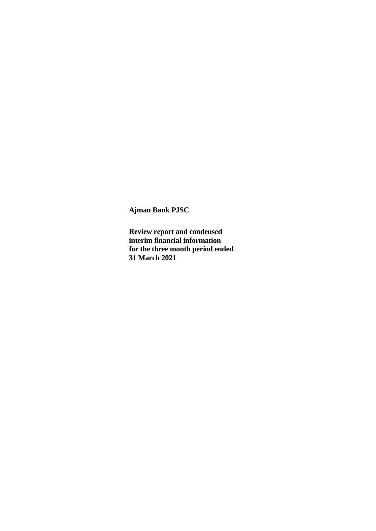**Review report and condensed interim financial information for the three month period ended 31 March 2021**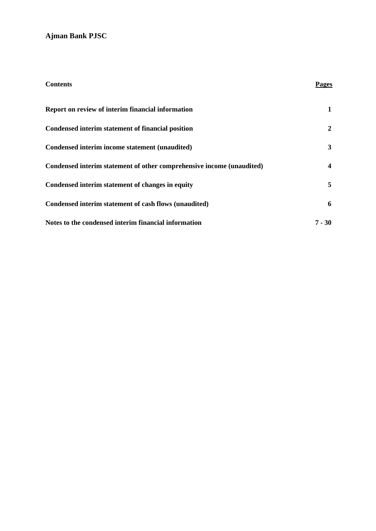| <b>Contents</b>                                                       | Pages                   |
|-----------------------------------------------------------------------|-------------------------|
| Report on review of interim financial information                     | 1                       |
| Condensed interim statement of financial position                     | 2                       |
| Condensed interim income statement (unaudited)                        | $\mathbf{3}$            |
| Condensed interim statement of other comprehensive income (unaudited) | $\overline{\mathbf{4}}$ |
| Condensed interim statement of changes in equity                      | 5                       |
| Condensed interim statement of cash flows (unaudited)                 | 6                       |
| Notes to the condensed interim financial information                  | $7 - 30$                |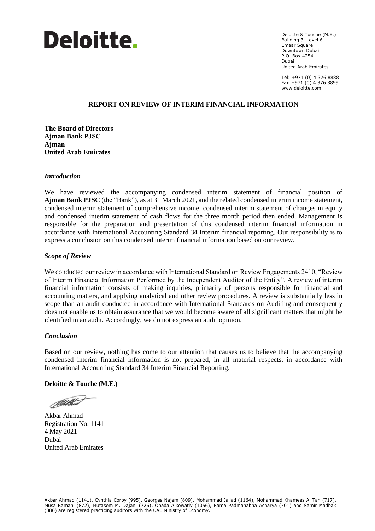

Deloitte & Touche (M.E.) Building 3, Level 6 Emaar Square Downtown Dubai P.O. Box 4254 Dubai United Arab Emirates

Tel: +971 (0) 4 376 8888 Fax:+971 (0) 4 376 8899 www.deloitte.com

#### August 17th, 2016 **REPORT ON REVIEW OF INTERIM FINANCIAL INFORMATION**

**The Board of Directors Ajman Bank PJSC Ajman United Arab Emirates**

#### *Introduction*

We have reviewed the accompanying condensed interim statement of financial position of **Ajman Bank PJSC** (the "Bank"), as at 31 March 2021, and the related condensed interim income statement, condensed interim statement of comprehensive income, condensed interim statement of changes in equity and condensed interim statement of cash flows for the three month period then ended, Management is responsible for the preparation and presentation of this condensed interim financial information in accordance with International Accounting Standard 34 Interim financial reporting. Our responsibility is to express a conclusion on this condensed interim financial information based on our review.

#### *Scope of Review*

We conducted our review in accordance with International Standard on Review Engagements 2410, "Review" of Interim Financial Information Performed by the Independent Auditor of the Entity". A review of interim financial information consists of making inquiries, primarily of persons responsible for financial and accounting matters, and applying analytical and other review procedures. A review is substantially less in scope than an audit conducted in accordance with International Standards on Auditing and consequently does not enable us to obtain assurance that we would become aware of all significant matters that might be identified in an audit. Accordingly, we do not express an audit opinion.

## *Conclusion*

Based on our review, nothing has come to our attention that causes us to believe that the accompanying condensed interim financial information is not prepared, in all material respects, in accordance with International Accounting Standard 34 Interim Financial Reporting.

#### **Deloitte & Touche (M.E.)**

Delettrant

Akbar Ahmad Registration No. 1141 4 May 2021 Dubai United Arab Emirates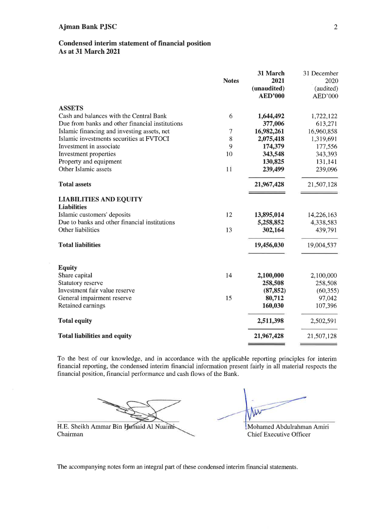## Condensed interim statement of financial position **As at 31 March 2021**

|                                                     | <b>Notes</b> | 31 March<br>2021<br>(unaudited)<br><b>AED'000</b> | 31 December<br>2020<br>(audited)<br>AED'000 |
|-----------------------------------------------------|--------------|---------------------------------------------------|---------------------------------------------|
| <b>ASSETS</b>                                       |              |                                                   |                                             |
| Cash and balances with the Central Bank             | 6            | 1,644,492                                         | 1,722,122                                   |
| Due from banks and other financial institutions     |              | 377,006                                           | 613,271                                     |
| Islamic financing and investing assets, net         | $\tau$       | 16,982,261                                        | 16,960,858                                  |
| Islamic investments securities at FVTOCI            | 8            | 2,075,418                                         | 1,319,691                                   |
| Investment in associate                             | 9            | 174,379                                           | 177,556                                     |
| Investment properties                               | 10           | 343,548                                           | 343,393                                     |
| Property and equipment                              |              | 130,825                                           | 131,141                                     |
| Other Islamic assets                                | $1\bar{1}$   | 239,499                                           | 239,096                                     |
| <b>Total assets</b>                                 |              | 21,967,428                                        | 21,507,128                                  |
| <b>LIABILITIES AND EQUITY</b><br><b>Liabilities</b> |              |                                                   |                                             |
| Islamic customers' deposits                         | 12           | 13,895,014                                        | 14,226,163                                  |
| Due to banks and other financial institutions       |              | 5,258,852                                         | 4,338,583                                   |
| Other liabilities                                   | 13           | 302,164                                           | 439,791                                     |
| <b>Total liabilities</b>                            |              | 19,456,030                                        | 19,004,537                                  |
| <b>Equity</b>                                       |              |                                                   |                                             |
| Share capital                                       | 14           | 2,100,000                                         | 2,100,000                                   |
| <b>Statutory reserve</b>                            |              | 258,508                                           | 258,508                                     |
| Investment fair value reserve                       |              | (87, 852)                                         | (60, 355)                                   |
| General impairment reserve                          | 15           | 80,712                                            | 97,042                                      |
| Retained earnings                                   |              | 160,030                                           | 107,396                                     |
| <b>Total equity</b>                                 |              | 2,511,398                                         | 2,502,591                                   |
| <b>Total liabilities and equity</b>                 |              | 21,967,428                                        | 21,507,128                                  |

To the best of our knowledge, and in accordance with the applicable reporting principles for interim financial reporting, the condensed interim financial information present fairly in all material respects the financial position, financial performance and cash flows of the Bank.

w

H.E. Sheikh Ammar Bin Humaid Al Nuaimi-Chairman

Mohamed Abdulrahman Amiri Chief Executive Officer

The accompanying notes form an integral part of these condensed interim financial statements.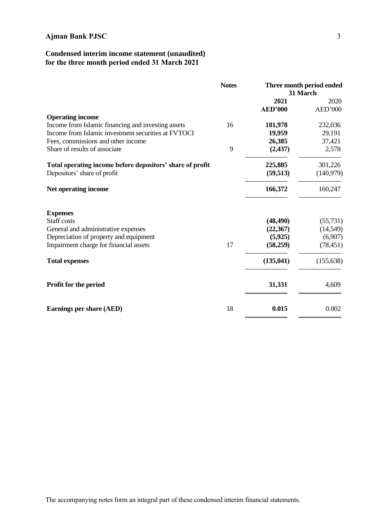# **Condensed interim income statement (unaudited) for the three month period ended 31 March 2021**

|                                                           | <b>Notes</b> | Three month period ended<br>31 March |            |
|-----------------------------------------------------------|--------------|--------------------------------------|------------|
|                                                           |              | 2021                                 | 2020       |
|                                                           |              | <b>AED'000</b>                       | AED'000    |
| <b>Operating income</b>                                   |              |                                      |            |
| Income from Islamic financing and investing assets        | 16           | 181,978                              | 232,036    |
| Income from Islamic investment securities at FVTOCI       |              | 19,959                               | 29,191     |
| Fees, commissions and other income                        |              | 26,385                               | 37,421     |
| Share of results of associate                             | 9            | (2,437)                              | 2,578      |
| Total operating income before depositors' share of profit |              | 225,885                              | 301,226    |
| Depositors' share of profit                               |              | (59, 513)                            | (140,979)  |
| Net operating income                                      |              | 166,372                              | 160,247    |
| <b>Expenses</b>                                           |              |                                      |            |
| Staff costs                                               |              | (48, 490)                            | (55, 731)  |
| General and administrative expenses                       |              | (22, 367)                            | (14, 549)  |
| Depreciation of property and equipment                    |              | (5,925)                              | (6,907)    |
| Impairment charge for financial assets                    | 17           | (58,259)                             | (78, 451)  |
| <b>Total expenses</b>                                     |              | (135, 041)                           | (155, 638) |
| Profit for the period                                     |              | 31,331                               | 4,609      |
| Earnings per share (AED)                                  | 18           | 0.015                                | 0.002      |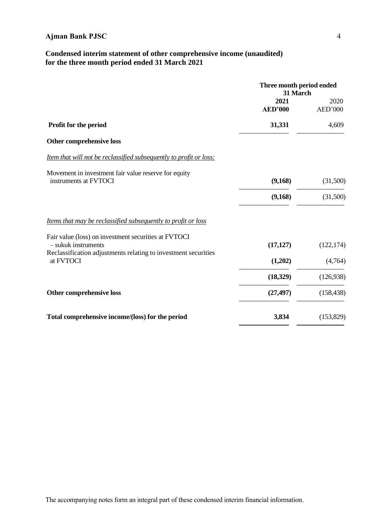# **Condensed interim statement of other comprehensive income (unaudited) for the three month period ended 31 March 2021**

|                                                                                                                                                 | Three month period ended<br>31 March |                 |
|-------------------------------------------------------------------------------------------------------------------------------------------------|--------------------------------------|-----------------|
|                                                                                                                                                 | 2021<br><b>AED'000</b>               | 2020<br>AED'000 |
| Profit for the period                                                                                                                           | 31,331                               | 4,609           |
| Other comprehensive loss                                                                                                                        |                                      |                 |
| Item that will not be reclassified subsequently to profit or loss:                                                                              |                                      |                 |
| Movement in investment fair value reserve for equity<br>instruments at FVTOCI                                                                   | (9,168)                              | (31,500)        |
|                                                                                                                                                 | (9,168)                              | (31,500)        |
| Items that may be reclassified subsequently to profit or loss                                                                                   |                                      |                 |
| Fair value (loss) on investment securities at FVTOCI<br>$-$ sukuk instruments<br>Reclassification adjustments relating to investment securities | (17, 127)                            | (122, 174)      |
| at FVTOCI                                                                                                                                       | (1,202)                              | (4,764)         |
|                                                                                                                                                 | (18, 329)                            | (126,938)       |
| Other comprehensive loss                                                                                                                        | (27, 497)                            | (158, 438)      |
| Total comprehensive income/(loss) for the period                                                                                                | 3,834                                | (153, 829)      |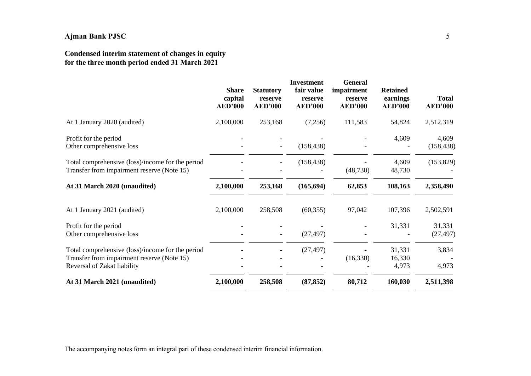# **Condensed interim statement of changes in equity for the three month period ended 31 March 2021**

|                                                                                                                               | <b>Share</b><br>capital<br><b>AED'000</b> | <b>Statutory</b><br>reserve<br><b>AED'000</b> | <b>Investment</b><br>fair value<br>reserve<br><b>AED'000</b> | <b>General</b><br>impairment<br>reserve<br><b>AED'000</b> | <b>Retained</b><br>earnings<br><b>AED'000</b> | <b>Total</b><br><b>AED'000</b> |
|-------------------------------------------------------------------------------------------------------------------------------|-------------------------------------------|-----------------------------------------------|--------------------------------------------------------------|-----------------------------------------------------------|-----------------------------------------------|--------------------------------|
| At 1 January 2020 (audited)                                                                                                   | 2,100,000                                 | 253,168                                       | (7,256)                                                      | 111,583                                                   | 54,824                                        | 2,512,319                      |
| Profit for the period<br>Other comprehensive loss                                                                             |                                           |                                               | (158, 438)                                                   |                                                           | 4,609                                         | 4,609<br>(158, 438)            |
| Total comprehensive (loss)/income for the period<br>Transfer from impairment reserve (Note 15)                                |                                           |                                               | (158, 438)                                                   | (48,730)                                                  | 4,609<br>48,730                               | (153, 829)                     |
| At 31 March 2020 (unaudited)                                                                                                  | 2,100,000                                 | 253,168                                       | (165, 694)                                                   | 62,853                                                    | 108,163                                       | 2,358,490                      |
| At 1 January 2021 (audited)                                                                                                   | 2,100,000                                 | 258,508                                       | (60, 355)                                                    | 97,042                                                    | 107,396                                       | 2,502,591                      |
| Profit for the period<br>Other comprehensive loss                                                                             |                                           |                                               | (27, 497)                                                    |                                                           | 31,331                                        | 31,331<br>(27, 497)            |
| Total comprehensive (loss)/income for the period<br>Transfer from impairment reserve (Note 15)<br>Reversal of Zakat liability |                                           |                                               | (27, 497)                                                    | (16,330)                                                  | 31,331<br>16,330<br>4,973                     | 3,834<br>4,973                 |
| At 31 March 2021 (unaudited)                                                                                                  | 2,100,000                                 | 258,508                                       | (87, 852)                                                    | 80,712                                                    | 160,030                                       | 2,511,398                      |

The accompanying notes form an integral part of these condensed interim financial information.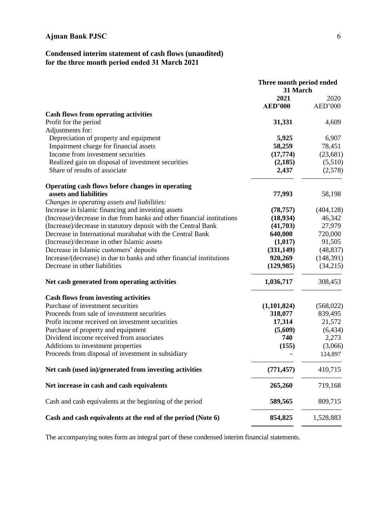# **Condensed interim statement of cash flows (unaudited) for the three month period ended 31 March 2021**

|                                                                        | Three month period ended |            |
|------------------------------------------------------------------------|--------------------------|------------|
|                                                                        | 31 March                 |            |
|                                                                        | 2021                     | 2020       |
|                                                                        | <b>AED'000</b>           | AED'000    |
| <b>Cash flows from operating activities</b>                            |                          |            |
| Profit for the period                                                  | 31,331                   | 4,609      |
| Adjustments for:                                                       |                          |            |
| Depreciation of property and equipment                                 | 5,925                    | 6,907      |
| Impairment charge for financial assets                                 | 58,259                   | 78,451     |
| Income from investment securities                                      | (17, 774)                | (23, 681)  |
| Realized gain on disposal of investment securities                     | (2, 185)                 | (5,510)    |
| Share of results of associate                                          | 2,437                    | (2,578)    |
| Operating cash flows before changes in operating                       |                          |            |
| assets and liabilities                                                 | 77,993                   | 58,198     |
| Changes in operating assets and liabilities:                           |                          |            |
| Increase in Islamic financing and investing assets                     | (78, 757)                | (404, 128) |
| (Increase)/decrease in due from banks and other financial institutions | (18, 934)                | 46,342     |
| (Increase)/decrease in statutory deposit with the Central Bank         | (41,703)                 | 27,979     |
| Decrease in International murabahat with the Central Bank              | 640,000                  | 720,000    |
| (Increase)/decrease in other Islamic assets                            | (1,017)                  | 91,505     |
| Decrease in Islamic customers' deposits                                | (331, 149)               | (48, 837)  |
| Increase/(decrease) in due to banks and other financial institutions   | 920,269                  | (148, 391) |
| Decrease in other liabilities                                          | (129, 985)               | (34,215)   |
| Net cash generated from operating activities                           | 1,036,717                | 308,453    |
| <b>Cash flows from investing activities</b>                            |                          |            |
| Purchase of investment securities                                      | (1,101,824)              | (568, 022) |
| Proceeds from sale of investment securities                            | 318,077                  | 839,495    |
| Profit income received on investment securities                        | 17,314                   | 21,572     |
| Purchase of property and equipment                                     | (5,609)                  | (6, 434)   |
| Dividend income received from associates                               | 740                      | 2,273      |
| Additions to investment properties                                     | (155)                    | (3,066)    |
| Proceeds from disposal of investment in subsidiary                     |                          | 124,897    |
| Net cash (used in)/generated from investing activities                 | (771, 457)               | 410,715    |
| Net increase in cash and cash equivalents                              | 265,260                  | 719,168    |
| Cash and cash equivalents at the beginning of the period               | 589,565                  | 809,715    |
| Cash and cash equivalents at the end of the period (Note 6)            | 854,825                  | 1,528,883  |

The accompanying notes form an integral part of these condensed interim financial statements.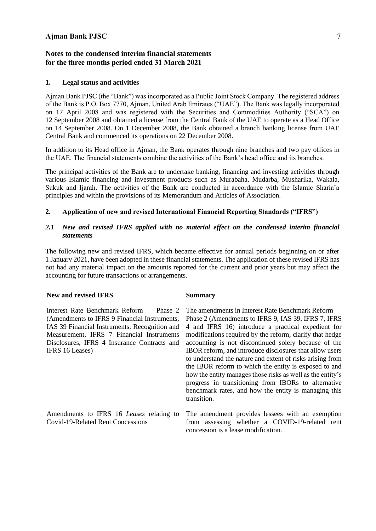# **Notes to the condensed interim financial statements for the three months period ended 31 March 2021**

#### **1. Legal status and activities**

Ajman Bank PJSC (the "Bank") was incorporated as a Public Joint Stock Company. The registered address of the Bank is P.O. Box 7770, Ajman, United Arab Emirates ("UAE"). The Bank was legally incorporated on 17 April 2008 and was registered with the Securities and Commodities Authority ("SCA") on 12 September 2008 and obtained a license from the Central Bank of the UAE to operate as a Head Office on 14 September 2008. On 1 December 2008, the Bank obtained a branch banking license from UAE Central Bank and commenced its operations on 22 December 2008.

In addition to its Head office in Ajman, the Bank operates through nine branches and two pay offices in the UAE. The financial statements combine the activities of the Bank's head office and its branches.

The principal activities of the Bank are to undertake banking, financing and investing activities through various Islamic financing and investment products such as Murabaha, Mudarba, Musharika, Wakala, Sukuk and Ijarah. The activities of the Bank are conducted in accordance with the Islamic Sharia'a principles and within the provisions of its Memorandum and Articles of Association.

# **2. Application of new and revised International Financial Reporting Standards ("IFRS")**

## *2.1 New and revised IFRS applied with no material effect on the condensed interim financial statements*

The following new and revised IFRS, which became effective for annual periods beginning on or after 1 January 2021, have been adopted in these financial statements. The application of these revised IFRS has not had any material impact on the amounts reported for the current and prior years but may affect the accounting for future transactions or arrangements.

#### **New and revised IFRS Summary**

Interest Rate Benchmark Reform — Phase 2 (Amendments to IFRS 9 Financial Instruments, IAS 39 Financial Instruments: Recognition and Measurement, IFRS 7 Financial Instruments Disclosures, IFRS 4 Insurance Contracts and IFRS 16 Leases)

Amendments to IFRS 16 *Leases* relating to Covid-19-Related Rent Concessions

The amendments in Interest Rate Benchmark Reform — Phase 2 (Amendments to IFRS 9, IAS 39, IFRS 7, IFRS 4 and IFRS 16) introduce a practical expedient for modifications required by the reform, clarify that hedge accounting is not discontinued solely because of the IBOR reform, and introduce disclosures that allow users to understand the nature and extent of risks arising from the IBOR reform to which the entity is exposed to and how the entity manages those risks as well as the entity's progress in transitioning from IBORs to alternative benchmark rates, and how the entity is managing this transition.

The amendment provides lessees with an exemption from assessing whether a COVID-19-related rent concession is a lease modification.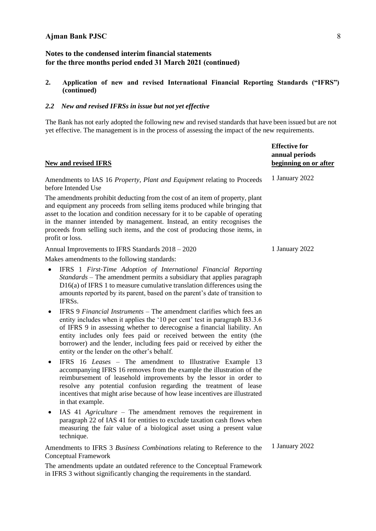## **2. Application of new and revised International Financial Reporting Standards ("IFRS") (continued)**

## *2.2 New and revised IFRSs in issue but not yet effective*

The Bank has not early adopted the following new and revised standards that have been issued but are not yet effective. The management is in the process of assessing the impact of the new requirements.

| <b>New and revised IFRS</b>                                                                                                                                                                                                                                                                                                                                                                                                   | <b>Effective for</b><br>annual periods<br>beginning on or after |
|-------------------------------------------------------------------------------------------------------------------------------------------------------------------------------------------------------------------------------------------------------------------------------------------------------------------------------------------------------------------------------------------------------------------------------|-----------------------------------------------------------------|
| Amendments to IAS 16 Property, Plant and Equipment relating to Proceeds<br>before Intended Use                                                                                                                                                                                                                                                                                                                                | 1 January 2022                                                  |
| The amendments prohibit deducting from the cost of an item of property, plant<br>and equipment any proceeds from selling items produced while bringing that<br>asset to the location and condition necessary for it to be capable of operating<br>in the manner intended by management. Instead, an entity recognises the<br>proceeds from selling such items, and the cost of producing those items, in<br>profit or loss.   |                                                                 |
| Annual Improvements to IFRS Standards 2018 - 2020                                                                                                                                                                                                                                                                                                                                                                             | 1 January 2022                                                  |
| Makes amendments to the following standards:                                                                                                                                                                                                                                                                                                                                                                                  |                                                                 |
| IFRS 1 First-Time Adoption of International Financial Reporting<br>$\bullet$<br>Standards – The amendment permits a subsidiary that applies paragraph<br>D16(a) of IFRS 1 to measure cumulative translation differences using the<br>amounts reported by its parent, based on the parent's date of transition to<br>IFRSs.                                                                                                    |                                                                 |
| IFRS 9 Financial Instruments – The amendment clarifies which fees an<br>entity includes when it applies the '10 per cent' test in paragraph B3.3.6<br>of IFRS 9 in assessing whether to derecognise a financial liability. An<br>entity includes only fees paid or received between the entity (the<br>borrower) and the lender, including fees paid or received by either the<br>entity or the lender on the other's behalf. |                                                                 |
| IFRS 16 Leases – The amendment to Illustrative Example 13<br>accompanying IFRS 16 removes from the example the illustration of the<br>reimbursement of leasehold improvements by the lessor in order to<br>resolve any potential confusion regarding the treatment of lease<br>incentives that might arise because of how lease incentives are illustrated<br>in that example.                                                |                                                                 |
| IAS 41 Agriculture - The amendment removes the requirement in<br>$\bullet$<br>paragraph 22 of IAS 41 for entities to exclude taxation cash flows when<br>measuring the fair value of a biological asset using a present value<br>technique.                                                                                                                                                                                   |                                                                 |
| Amendments to IFRS 3 Business Combinations relating to Reference to the<br><b>Conceptual Framework</b>                                                                                                                                                                                                                                                                                                                        | 1 January 2022                                                  |

The amendments update an outdated reference to the Conceptual Framework in IFRS 3 without significantly changing the requirements in the standard.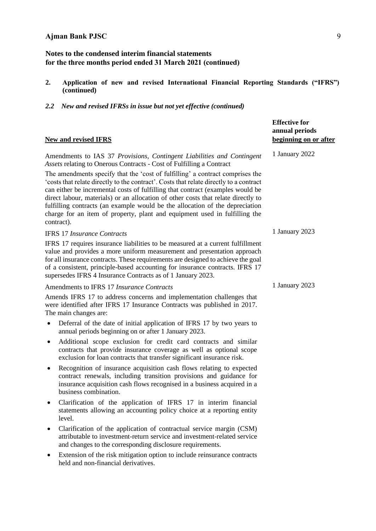- **2. Application of new and revised International Financial Reporting Standards ("IFRS") (continued)**
- *2.2 New and revised IFRSs in issue but not yet effective (continued)*

| <b>New and revised IFRS</b>                                                                                                                                                                                                                                                                                                                                                                                                                                                                                                | <b>Effective for</b><br>annual periods<br>beginning on or after |
|----------------------------------------------------------------------------------------------------------------------------------------------------------------------------------------------------------------------------------------------------------------------------------------------------------------------------------------------------------------------------------------------------------------------------------------------------------------------------------------------------------------------------|-----------------------------------------------------------------|
| Amendments to IAS 37 Provisions, Contingent Liabilities and Contingent<br>Assets relating to Onerous Contracts - Cost of Fulfilling a Contract                                                                                                                                                                                                                                                                                                                                                                             | 1 January 2022                                                  |
| The amendments specify that the 'cost of fulfilling' a contract comprises the<br>'costs that relate directly to the contract'. Costs that relate directly to a contract<br>can either be incremental costs of fulfilling that contract (examples would be<br>direct labour, materials) or an allocation of other costs that relate directly to<br>fulfilling contracts (an example would be the allocation of the depreciation<br>charge for an item of property, plant and equipment used in fulfilling the<br>contract). |                                                                 |
| <b>IFRS 17 Insurance Contracts</b>                                                                                                                                                                                                                                                                                                                                                                                                                                                                                         | 1 January 2023                                                  |
| IFRS 17 requires insurance liabilities to be measured at a current fulfillment<br>value and provides a more uniform measurement and presentation approach<br>for all insurance contracts. These requirements are designed to achieve the goal<br>of a consistent, principle-based accounting for insurance contracts. IFRS 17<br>supersedes IFRS 4 Insurance Contracts as of 1 January 2023.                                                                                                                               |                                                                 |
| Amendments to IFRS 17 Insurance Contracts                                                                                                                                                                                                                                                                                                                                                                                                                                                                                  | 1 January 2023                                                  |
| Amends IFRS 17 to address concerns and implementation challenges that<br>were identified after IFRS 17 Insurance Contracts was published in 2017.<br>The main changes are:                                                                                                                                                                                                                                                                                                                                                 |                                                                 |
| Deferral of the date of initial application of IFRS 17 by two years to<br>$\bullet$<br>annual periods beginning on or after 1 January 2023.                                                                                                                                                                                                                                                                                                                                                                                |                                                                 |
| Additional scope exclusion for credit card contracts and similar<br>٠<br>contracts that provide insurance coverage as well as optional scope<br>exclusion for loan contracts that transfer significant insurance risk.                                                                                                                                                                                                                                                                                                     |                                                                 |
| Recognition of insurance acquisition cash flows relating to expected<br>٠<br>contract renewals, including transition provisions and guidance for<br>insurance acquisition cash flows recognised in a business acquired in a<br>business combination.                                                                                                                                                                                                                                                                       |                                                                 |
| Clarification of the application of IFRS 17 in interim financial<br>statements allowing an accounting policy choice at a reporting entity<br>level.                                                                                                                                                                                                                                                                                                                                                                        |                                                                 |
| Clarification of the application of contractual service margin (CSM)<br>attributable to investment-return service and investment-related service<br>and changes to the corresponding disclosure requirements.                                                                                                                                                                                                                                                                                                              |                                                                 |
| Extension of the risk mitigation option to include reinsurance contracts<br>held and non-financial derivatives.                                                                                                                                                                                                                                                                                                                                                                                                            |                                                                 |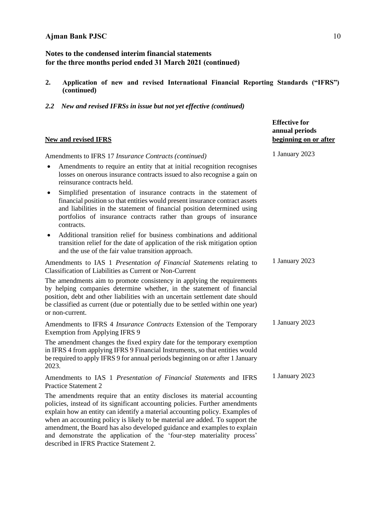- **2. Application of new and revised International Financial Reporting Standards ("IFRS") (continued)**
- *2.2 New and revised IFRSs in issue but not yet effective (continued)*

| <b>New and revised IFRS</b>                                                                                                                                                                                                                                                                                                                                                                                                                                                   | annual periods<br>beginning on or after |
|-------------------------------------------------------------------------------------------------------------------------------------------------------------------------------------------------------------------------------------------------------------------------------------------------------------------------------------------------------------------------------------------------------------------------------------------------------------------------------|-----------------------------------------|
| Amendments to IFRS 17 Insurance Contracts (continued)                                                                                                                                                                                                                                                                                                                                                                                                                         | 1 January 2023                          |
| Amendments to require an entity that at initial recognition recognises<br>losses on onerous insurance contracts issued to also recognise a gain on<br>reinsurance contracts held.                                                                                                                                                                                                                                                                                             |                                         |
| Simplified presentation of insurance contracts in the statement of<br>٠<br>financial position so that entities would present insurance contract assets<br>and liabilities in the statement of financial position determined using<br>portfolios of insurance contracts rather than groups of insurance<br>contracts.                                                                                                                                                          |                                         |
| Additional transition relief for business combinations and additional<br>٠<br>transition relief for the date of application of the risk mitigation option<br>and the use of the fair value transition approach.                                                                                                                                                                                                                                                               |                                         |
| Amendments to IAS 1 Presentation of Financial Statements relating to<br>Classification of Liabilities as Current or Non-Current                                                                                                                                                                                                                                                                                                                                               | 1 January 2023                          |
| The amendments aim to promote consistency in applying the requirements<br>by helping companies determine whether, in the statement of financial<br>position, debt and other liabilities with an uncertain settlement date should<br>be classified as current (due or potentially due to be settled within one year)<br>or non-current.                                                                                                                                        |                                         |
| Amendments to IFRS 4 <i>Insurance Contracts</i> Extension of the Temporary<br>Exemption from Applying IFRS 9                                                                                                                                                                                                                                                                                                                                                                  | 1 January 2023                          |
| The amendment changes the fixed expiry date for the temporary exemption<br>in IFRS 4 from applying IFRS 9 Financial Instruments, so that entities would<br>be required to apply IFRS 9 for annual periods beginning on or after 1 January<br>2023.                                                                                                                                                                                                                            |                                         |
| Amendments to IAS 1 Presentation of Financial Statements and IFRS<br><b>Practice Statement 2</b>                                                                                                                                                                                                                                                                                                                                                                              | 1 January 2023                          |
| The amendments require that an entity discloses its material accounting<br>policies, instead of its significant accounting policies. Further amendments<br>explain how an entity can identify a material accounting policy. Examples of<br>when an accounting policy is likely to be material are added. To support the<br>amendment, the Board has also developed guidance and examples to explain<br>and demonstrate the application of the 'four-step materiality process' |                                         |

**Effective for**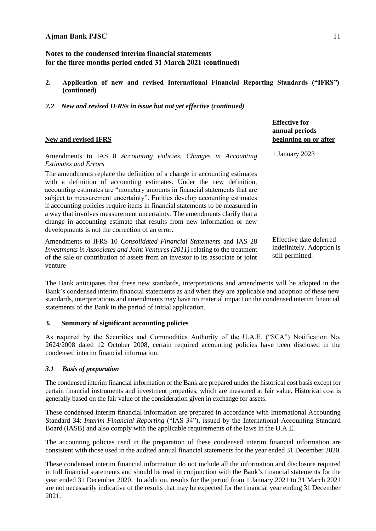- **2. Application of new and revised International Financial Reporting Standards ("IFRS") (continued)**
- *2.2 New and revised IFRSs in issue but not yet effective (continued)*

# **New and revised IFRS**

**beginning on or after** Amendments to IAS 8 *Accounting Policies, Changes in Accounting Estimates and Errors* The amendments replace the definition of a change in accounting estimates with a definition of accounting estimates. Under the new definition, accounting estimates are "monetary amounts in financial statements that are subject to measurement uncertainty". Entities develop accounting estimates if accounting policies require items in financial statements to be measured in a way that involves measurement uncertainty. The amendments clarify that a change in accounting estimate that results from new information or new developments is not the correction of an error. 1 January 2023 Amendments to IFRS 10 *Consolidated Financial Statements* and IAS 28 *Investments in Associates and Joint Ventures (2011)* relating to the treatment of the sale or contribution of assets from an investor to its associate or joint Effective date deferred indefinitely. Adoption is still permitted.

The Bank anticipates that these new standards, interpretations and amendments will be adopted in the Bank's condensed interim financial statements as and when they are applicable and adoption of these new standards, interpretations and amendments may have no material impact on the condensed interim financial statements of the Bank in the period of initial application.

## **3. Summary of significant accounting policies**

As required by the Securities and Commodities Authority of the U.A.E. ("SCA") Notification No. 2624/2008 dated 12 October 2008, certain required accounting policies have been disclosed in the condensed interim financial information.

# *3.1 Basis of preparation*

venture

The condensed interim financial information of the Bank are prepared under the historical cost basis except for certain financial instruments and investment properties, which are measured at fair value. Historical cost is generally based on the fair value of the consideration given in exchange for assets.

These condensed interim financial information are prepared in accordance with International Accounting Standard 34: *Interim Financial Reporting* ("IAS 34"), issued by the International Accounting Standard Board (IASB) and also comply with the applicable requirements of the laws in the U.A.E.

The accounting policies used in the preparation of these condensed interim financial information are consistent with those used in the audited annual financial statements for the year ended 31 December 2020.

These condensed interim financial information do not include all the information and disclosure required in full financial statements and should be read in conjunction with the Bank's financial statements for the year ended 31 December 2020. In addition, results for the period from 1 January 2021 to 31 March 2021 are not necessarily indicative of the results that may be expected for the financial year ending 31 December 2021.

**Effective for annual periods**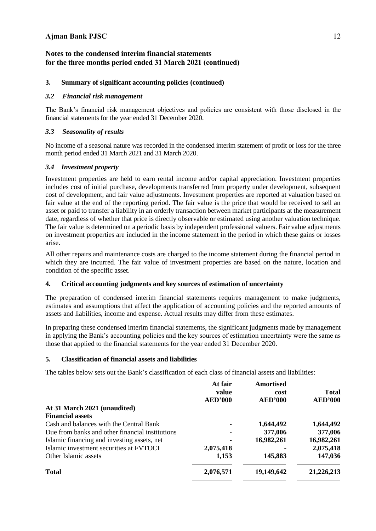# **3. Summary of significant accounting policies (continued)**

# *3.2 Financial risk management*

The Bank's financial risk management objectives and policies are consistent with those disclosed in the financial statements for the year ended 31 December 2020.

# *3.3 Seasonality of results*

No income of a seasonal nature was recorded in the condensed interim statement of profit or loss for the three month period ended 31 March 2021 and 31 March 2020.

# *3.4 Investment property*

Investment properties are held to earn rental income and/or capital appreciation. Investment properties includes cost of initial purchase, developments transferred from property under development, subsequent cost of development, and fair value adjustments. Investment properties are reported at valuation based on fair value at the end of the reporting period. The fair value is the price that would be received to sell an asset or paid to transfer a liability in an orderly transaction between market participants at the measurement date, regardless of whether that price is directly observable or estimated using another valuation technique. The fair value is determined on a periodic basis by independent professional valuers. Fair value adjustments on investment properties are included in the income statement in the period in which these gains or losses arise.

All other repairs and maintenance costs are charged to the income statement during the financial period in which they are incurred. The fair value of investment properties are based on the nature, location and condition of the specific asset.

# **4. Critical accounting judgments and key sources of estimation of uncertainty**

The preparation of condensed interim financial statements requires management to make judgments, estimates and assumptions that affect the application of accounting policies and the reported amounts of assets and liabilities, income and expense. Actual results may differ from these estimates.

In preparing these condensed interim financial statements, the significant judgments made by management in applying the Bank's accounting policies and the key sources of estimation uncertainty were the same as those that applied to the financial statements for the year ended 31 December 2020.

# **5. Classification of financial assets and liabilities**

The tables below sets out the Bank's classification of each class of financial assets and liabilities:

| At fair<br>value<br><b>AED'000</b> | <b>Amortised</b><br>cost<br><b>AED'000</b> | <b>Total</b><br><b>AED'000</b> |
|------------------------------------|--------------------------------------------|--------------------------------|
|                                    |                                            |                                |
|                                    |                                            |                                |
|                                    | 1,644,492                                  | 1,644,492                      |
|                                    | 377,006                                    | 377,006                        |
|                                    | 16,982,261                                 | 16,982,261                     |
| 2,075,418                          |                                            | 2,075,418                      |
| 1,153                              | 145,883                                    | 147,036                        |
| 2,076,571                          | 19,149,642                                 | 21,226,213                     |
|                                    |                                            |                                |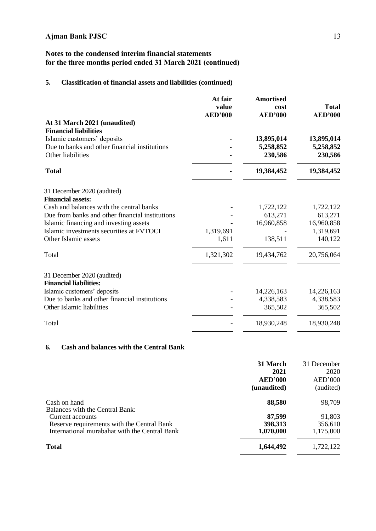# **Notes to the condensed interim financial statements for the three months period ended 31 March 2021 (continued)**

# **5. Classification of financial assets and liabilities (continued)**

|                                                 | At fair                 | <b>Amortised</b>       |                                |
|-------------------------------------------------|-------------------------|------------------------|--------------------------------|
|                                                 | value<br><b>AED'000</b> | cost<br><b>AED'000</b> | <b>Total</b><br><b>AED'000</b> |
| At 31 March 2021 (unaudited)                    |                         |                        |                                |
| <b>Financial liabilities</b>                    |                         |                        |                                |
| Islamic customers' deposits                     |                         | 13,895,014             | 13,895,014                     |
| Due to banks and other financial institutions   |                         | 5,258,852              | 5,258,852                      |
| Other liabilities                               |                         | 230,586                | 230,586                        |
| <b>Total</b>                                    |                         | 19,384,452             | 19,384,452                     |
| 31 December 2020 (audited)                      |                         |                        |                                |
| <b>Financial assets:</b>                        |                         |                        |                                |
| Cash and balances with the central banks        |                         | 1,722,122              | 1,722,122                      |
| Due from banks and other financial institutions |                         | 613,271                | 613,271                        |
| Islamic financing and investing assets          |                         | 16,960,858             | 16,960,858                     |
| Islamic investments securities at FVTOCI        | 1,319,691               |                        | 1,319,691                      |
| Other Islamic assets                            | 1,611                   | 138,511                | 140,122                        |
| Total                                           | 1,321,302               | 19,434,762             | 20,756,064                     |
|                                                 |                         |                        |                                |
| 31 December 2020 (audited)                      |                         |                        |                                |
| <b>Financial liabilities:</b>                   |                         |                        |                                |
| Islamic customers' deposits                     |                         | 14,226,163             | 14,226,163                     |
| Due to banks and other financial institutions   |                         | 4,338,583              | 4,338,583                      |
| Other Islamic liabilities                       |                         | 365,502                | 365,502                        |
| Total                                           |                         | 18,930,248             | 18,930,248                     |

# **6. Cash and balances with the Central Bank**

|                                                        | 31 March       | 31 December |
|--------------------------------------------------------|----------------|-------------|
|                                                        | 2021           | 2020        |
|                                                        | <b>AED'000</b> | AED'000     |
|                                                        | (unaudited)    | (audited)   |
| Cash on hand<br><b>Balances with the Central Bank:</b> | 88,580         | 98,709      |
| Current accounts                                       | 87,599         | 91,803      |
| Reserve requirements with the Central Bank             | 398,313        | 356,610     |
| International murabahat with the Central Bank          | 1,070,000      | 1,175,000   |
| <b>Total</b>                                           | 1,644,492      | 1,722,122   |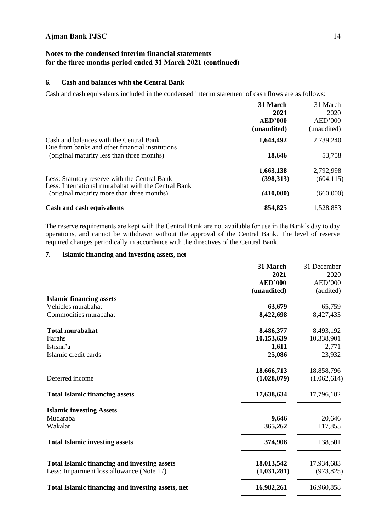# **Notes to the condensed interim financial statements for the three months period ended 31 March 2021 (continued)**

# **6. Cash and balances with the Central Bank**

Cash and cash equivalents included in the condensed interim statement of cash flows are as follows:

|                                                                                                   | 31 March    | 31 March    |
|---------------------------------------------------------------------------------------------------|-------------|-------------|
|                                                                                                   | 2021        | 2020        |
|                                                                                                   | AED'000     | AED'000     |
|                                                                                                   | (unaudited) | (unaudited) |
| Cash and balances with the Central Bank<br>Due from banks and other financial institutions        | 1,644,492   | 2,739,240   |
| (original maturity less than three months)                                                        | 18,646      | 53,758      |
|                                                                                                   | 1,663,138   | 2,792,998   |
| Less: Statutory reserve with the Central Bank                                                     | (398, 313)  | (604, 115)  |
| Less: International murabahat with the Central Bank<br>(original maturity more than three months) | (410,000)   | (660,000)   |
| <b>Cash and cash equivalents</b>                                                                  | 854,825     | 1,528,883   |

The reserve requirements are kept with the Central Bank are not available for use in the Bank's day to day operations, and cannot be withdrawn without the approval of the Central Bank. The level of reserve required changes periodically in accordance with the directives of the Central Bank.

# **7. Islamic financing and investing assets, net**

|                                                     | 31 March       | 31 December |
|-----------------------------------------------------|----------------|-------------|
|                                                     | 2021           | 2020        |
|                                                     | <b>AED'000</b> | AED'000     |
|                                                     | (unaudited)    | (audited)   |
| <b>Islamic financing assets</b>                     |                |             |
| Vehicles murabahat                                  | 63,679         | 65,759      |
| Commodities murabahat                               | 8,422,698      | 8,427,433   |
| <b>Total murabahat</b>                              | 8,486,377      | 8,493,192   |
| Ijarahs                                             | 10,153,639     | 10,338,901  |
| Istisna'a                                           | 1,611          | 2,771       |
| Islamic credit cards                                | 25,086         | 23,932      |
|                                                     | 18,666,713     | 18,858,796  |
| Deferred income                                     | (1,028,079)    | (1,062,614) |
| <b>Total Islamic financing assets</b>               | 17,638,634     | 17,796,182  |
| <b>Islamic investing Assets</b>                     |                |             |
| Mudaraba                                            | 9,646          | 20,646      |
| Wakalat                                             | 365,262        | 117,855     |
| <b>Total Islamic investing assets</b>               | 374,908        | 138,501     |
| <b>Total Islamic financing and investing assets</b> | 18,013,542     | 17,934,683  |
| Less: Impairment loss allowance (Note 17)           | (1,031,281)    | (973, 825)  |
| Total Islamic financing and investing assets, net   | 16,982,261     | 16,960,858  |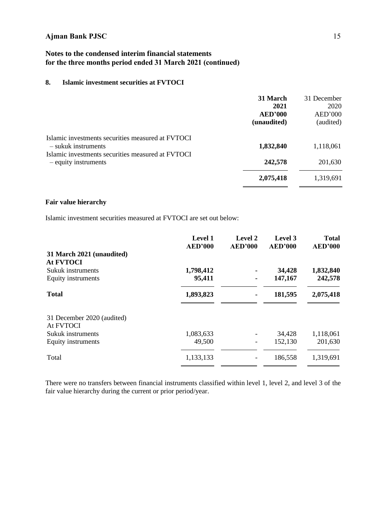# **Notes to the condensed interim financial statements for the three months period ended 31 March 2021 (continued)**

# **8. Islamic investment securities at FVTOCI**

|                                                   | 31 March       | 31 December |
|---------------------------------------------------|----------------|-------------|
|                                                   | 2021           | 2020        |
|                                                   | <b>AED'000</b> | AED'000     |
|                                                   | (unaudited)    | (audited)   |
| Islamic investments securities measured at FVTOCI |                |             |
| - sukuk instruments                               | 1,832,840      | 1,118,061   |
| Islamic investments securities measured at FVTOCI |                |             |
| - equity instruments                              | 242,578        | 201,630     |
|                                                   | 2,075,418      | 1,319,691   |
|                                                   |                |             |

## **Fair value hierarchy**

Islamic investment securities measured at FVTOCI are set out below:

|                            | <b>Level 1</b> | Level 2        | Level 3        | <b>Total</b>   |
|----------------------------|----------------|----------------|----------------|----------------|
|                            | <b>AED'000</b> | <b>AED'000</b> | <b>AED'000</b> | <b>AED'000</b> |
| 31 March 2021 (unaudited)  |                |                |                |                |
| <b>At FVTOCI</b>           |                |                |                |                |
| Sukuk instruments          | 1,798,412      |                | 34,428         | 1,832,840      |
| Equity instruments         | 95,411         |                | 147,167        | 242,578        |
| <b>Total</b>               | 1,893,823      |                | 181,595        | 2,075,418      |
| 31 December 2020 (audited) |                |                |                |                |
| At FVTOCI                  |                |                |                |                |
| Sukuk instruments          | 1,083,633      |                | 34,428         | 1,118,061      |
| Equity instruments         | 49,500         |                | 152,130        | 201,630        |
| Total                      | 1,133,133      |                | 186,558        | 1,319,691      |
|                            |                |                |                |                |

There were no transfers between financial instruments classified within level 1, level 2, and level 3 of the fair value hierarchy during the current or prior period/year.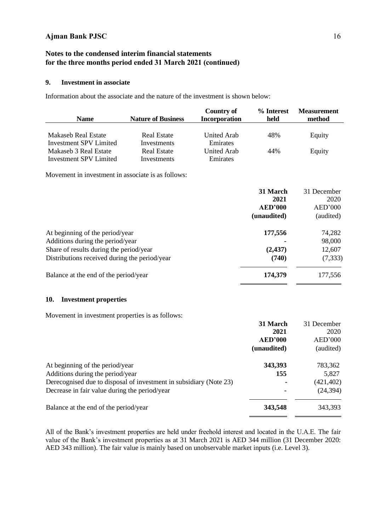# **Notes to the condensed interim financial statements for the three months period ended 31 March 2021 (continued)**

# **9. Investment in associate**

Information about the associate and the nature of the investment is shown below:

| <b>Name</b>                             | <b>Nature of Business</b> | <b>Country of</b><br><b>Incorporation</b> | % Interest<br>held                                | <b>Measurement</b><br>method                |
|-----------------------------------------|---------------------------|-------------------------------------------|---------------------------------------------------|---------------------------------------------|
|                                         |                           |                                           |                                                   |                                             |
| Makaseb Real Estate                     | <b>Real Estate</b>        | United Arab                               | 48%                                               | Equity                                      |
| Investment SPV Limited                  | Investments               | Emirates                                  |                                                   |                                             |
| Makaseb 3 Real Estate                   | <b>Real Estate</b>        | <b>United Arab</b>                        | 44%                                               | Equity                                      |
| <b>Investment SPV Limited</b>           | Investments               | Emirates                                  |                                                   |                                             |
|                                         |                           |                                           | 31 March<br>2021<br><b>AED'000</b><br>(unaudited) | 31 December<br>2020<br>AED'000<br>(audited) |
| At beginning of the period/year         |                           |                                           | 177,556                                           | 74,282                                      |
| Additions during the period/year        |                           |                                           |                                                   | 98,000                                      |
| Share of results during the period/year |                           |                                           | (2, 437)                                          | 12,607                                      |

Distributions received during the period/year **(740)** (7,333)

Balance at the end of the period/year **174,379** 177,556

# **10. Investment properties**

Movement in investment properties is as follows:

|                                                                    | 31 March       | 31 December |
|--------------------------------------------------------------------|----------------|-------------|
|                                                                    | 2021           | 2020        |
|                                                                    | <b>AED'000</b> | AED'000     |
|                                                                    | (unaudited)    | (audited)   |
| At beginning of the period/year                                    | 343,393        | 783,362     |
| Additions during the period/year                                   | 155            | 5,827       |
| Derecognised due to disposal of investment in subsidiary (Note 23) | ۰              | (421, 402)  |
| Decrease in fair value during the period/year                      | ۰              | (24, 394)   |
| Balance at the end of the period/year                              | 343,548        | 343,393     |

All of the Bank's investment properties are held under freehold interest and located in the U.A.E. The fair value of the Bank's investment properties as at 31 March 2021 is AED 344 million (31 December 2020: AED 343 million). The fair value is mainly based on unobservable market inputs (i.e. Level 3).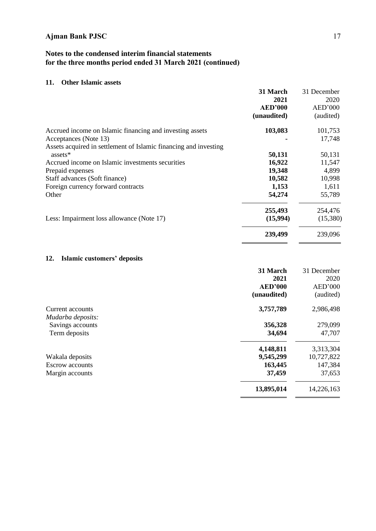# **Notes to the condensed interim financial statements for the three months period ended 31 March 2021 (continued)**

# **11. Other Islamic assets**

|                                                                  | 31 March       | 31 December |
|------------------------------------------------------------------|----------------|-------------|
|                                                                  | 2021           | 2020        |
|                                                                  | <b>AED'000</b> | AED'000     |
|                                                                  | (unaudited)    | (audited)   |
| Accrued income on Islamic financing and investing assets         | 103,083        | 101,753     |
| Acceptances (Note 13)                                            |                | 17,748      |
| Assets acquired in settlement of Islamic financing and investing |                |             |
| assets*                                                          | 50,131         | 50,131      |
| Accrued income on Islamic investments securities                 | 16,922         | 11,547      |
| Prepaid expenses                                                 | 19,348         | 4,899       |
| Staff advances (Soft finance)                                    | 10,582         | 10,998      |
| Foreign currency forward contracts                               | 1,153          | 1,611       |
| Other                                                            | 54,274         | 55,789      |
|                                                                  | 255,493        | 254,476     |
| Less: Impairment loss allowance (Note 17)                        | (15,994)       | (15,380)    |
|                                                                  | 239,499        | 239,096     |

# **12. Islamic customers' deposits**

| 31 December |
|-------------|
| 2020        |
| AED'000     |
| (audited)   |
| 2,986,498   |
|             |
| 279,099     |
| 47,707      |
| 3,313,304   |
| 10,727,822  |
| 147,384     |
| 37,653      |
| 14,226,163  |
|             |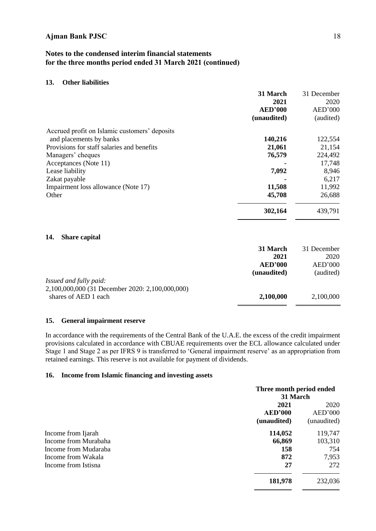## **13. Other liabilities**

|                                               | 31 March<br>2021              | 31 December<br>2020  |
|-----------------------------------------------|-------------------------------|----------------------|
|                                               | <b>AED'000</b><br>(unaudited) | AED'000<br>(audited) |
| Accrued profit on Islamic customers' deposits |                               |                      |
| and placements by banks                       | 140,216                       | 122,554              |
| Provisions for staff salaries and benefits    | 21,061                        | 21,154               |
| Managers' cheques                             | 76,579                        | 224,492              |
| Acceptances (Note 11)                         |                               | 17,748               |
| Lease liability                               | 7,092                         | 8,946                |
| Zakat payable                                 |                               | 6,217                |
| Impairment loss allowance (Note 17)           | 11,508                        | 11,992               |
| Other                                         | 45,708                        | 26,688               |
|                                               | 302,164                       | 439,791              |

#### **14. Share capital**

|                                                 | 31 March       | 31 December |
|-------------------------------------------------|----------------|-------------|
|                                                 | 2021           | 2020        |
|                                                 | <b>AED'000</b> | AED'000     |
|                                                 | (unaudited)    | (audited)   |
| Issued and fully paid:                          |                |             |
| 2,100,000,000 (31 December 2020: 2,100,000,000) |                |             |
| shares of AED 1 each                            | 2,100,000      | 2,100,000   |

#### **15. General impairment reserve**

In accordance with the requirements of the Central Bank of the U.A.E. the excess of the credit impairment provisions calculated in accordance with CBUAE requirements over the ECL allowance calculated under Stage 1 and Stage 2 as per IFRS 9 is transferred to 'General impairment reserve' as an appropriation from retained earnings. This reserve is not available for payment of dividends.

### **16. Income from Islamic financing and investing assets**

|                      | Three month period ended<br>31 March |             |
|----------------------|--------------------------------------|-------------|
|                      | 2021                                 |             |
|                      | <b>AED'000</b>                       | AED'000     |
|                      | (unaudited)                          | (unaudited) |
| Income from Ijarah   | 114,052                              | 119,747     |
| Income from Murabaha | 66,869                               | 103,310     |
| Income from Mudaraba | 158                                  | 754         |
| Income from Wakala   | 872                                  | 7,953       |
| Income from Istisna  | 27                                   | 272         |
|                      | 181,978                              | 232,036     |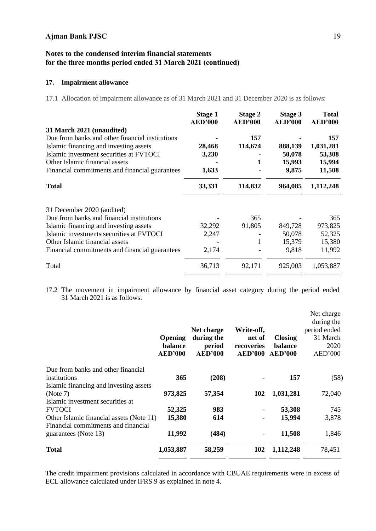# **Notes to the condensed interim financial statements for the three months period ended 31 March 2021 (continued)**

# **17. Impairment allowance**

17.1 Allocation of impairment allowance as of 31 March 2021 and 31 December 2020 is as follows:

|                                                 | <b>Stage 1</b><br><b>AED'000</b> | Stage 2<br><b>AED'000</b> | <b>Stage 3</b><br><b>AED'000</b> | <b>Total</b><br><b>AED'000</b> |
|-------------------------------------------------|----------------------------------|---------------------------|----------------------------------|--------------------------------|
| 31 March 2021 (unaudited)                       |                                  |                           |                                  |                                |
| Due from banks and other financial institutions |                                  | 157                       |                                  | 157                            |
| Islamic financing and investing assets          | 28,468                           | 114,674                   | 888,139                          | 1,031,281                      |
| Islamic investment securities at FVTOCI         | 3,230                            |                           | 50,078                           | 53,308                         |
| Other Islamic financial assets                  |                                  | 1                         | 15,993                           | 15,994                         |
| Financial commitments and financial guarantees  | 1,633                            |                           | 9,875                            | 11,508                         |
| <b>Total</b>                                    | 33,331                           | 114,832                   | 964,085                          | 1,112,248                      |
| 31 December 2020 (audited)                      |                                  |                           |                                  |                                |
| Due from banks and financial institutions       |                                  | 365                       |                                  | 365                            |
| Islamic financing and investing assets          | 32,292                           | 91,805                    | 849,728                          | 973,825                        |
| Islamic investments securities at FVTOCI        | 2,247                            |                           | 50,078                           | 52,325                         |
| Other Islamic financial assets                  |                                  | 1                         | 15,379                           | 15,380                         |
| Financial commitments and financial guarantees  | 2,174                            |                           | 9,818                            | 11,992                         |
| Total                                           | 36,713                           | 92,171                    | 925,003                          | 1,053,887                      |

17.2 The movement in impairment allowance by financial asset category during the period ended 31 March 2021 is as follows:

|                |                                          |                |                | Net charge   |
|----------------|------------------------------------------|----------------|----------------|--------------|
|                |                                          |                |                | during the   |
|                | Net charge                               | Write-off,     |                | period ended |
| <b>Opening</b> | during the                               | net of         | <b>Closing</b> | 31 March     |
| balance        | period                                   | recoveries     | balance        | 2020         |
| <b>AED'000</b> | <b>AED'000</b>                           | <b>AED'000</b> | <b>AED'000</b> | AED'000      |
|                |                                          |                |                |              |
| 365            | (208)                                    |                | 157            | (58)         |
|                |                                          |                |                |              |
| 973,825        | 57,354                                   | 102            | 1,031,281      | 72,040       |
|                |                                          |                |                |              |
| 52,325         | 983                                      |                | 53,308         | 745          |
| 15,380         | 614                                      |                | 15,994         | 3,878        |
|                |                                          |                |                |              |
| 11,992         | (484)                                    |                | 11,508         | 1,846        |
| 1,053,887      | 58,259                                   | 102            | 1,112,248      | 78,451       |
|                | Other Islamic financial assets (Note 11) |                |                |              |

The credit impairment provisions calculated in accordance with CBUAE requirements were in excess of ECL allowance calculated under IFRS 9 as explained in note 4.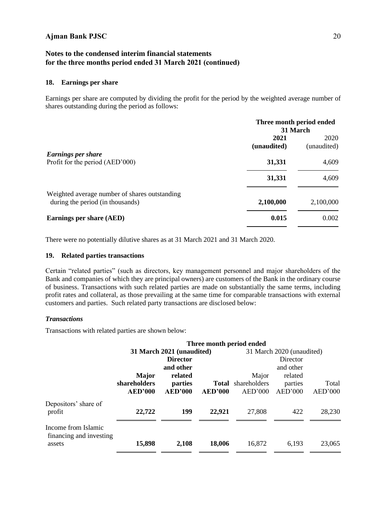# **Notes to the condensed interim financial statements for the three months period ended 31 March 2021 (continued)**

## **18. Earnings per share**

Earnings per share are computed by dividing the profit for the period by the weighted average number of shares outstanding during the period as follows:

|                                                                                   | Three month period ended<br>31 March |                     |  |
|-----------------------------------------------------------------------------------|--------------------------------------|---------------------|--|
|                                                                                   | 2021<br>(unaudited)                  | 2020<br>(unaudited) |  |
| <b>Earnings per share</b><br>Profit for the period (AED'000)                      | 31,331                               | 4,609               |  |
|                                                                                   | 31,331                               | 4,609               |  |
| Weighted average number of shares outstanding<br>during the period (in thousands) | 2,100,000                            | 2,100,000           |  |
| Earnings per share (AED)                                                          | 0.015                                | 0.002               |  |

There were no potentially dilutive shares as at 31 March 2021 and 31 March 2020.

## **19. Related parties transactions**

Certain "related parties" (such as directors, key management personnel and major shareholders of the Bank and companies of which they are principal owners) are customers of the Bank in the ordinary course of business. Transactions with such related parties are made on substantially the same terms, including profit rates and collateral, as those prevailing at the same time for comparable transactions with external customers and parties. Such related party transactions are disclosed below:

## *Transactions*

Transactions with related parties are shown below:

|                                                | Three month period ended |                           |                |                           |           |         |  |
|------------------------------------------------|--------------------------|---------------------------|----------------|---------------------------|-----------|---------|--|
|                                                |                          | 31 March 2021 (unaudited) |                | 31 March 2020 (unaudited) |           |         |  |
|                                                |                          | <b>Director</b>           |                |                           | Director  |         |  |
|                                                |                          | and other                 |                |                           | and other |         |  |
|                                                | <b>Major</b>             | related                   |                | Major                     | related   |         |  |
|                                                | shareholders             | parties                   | <b>Total</b>   | shareholders              | parties   | Total   |  |
|                                                | AED'000                  | <b>AED'000</b>            | <b>AED'000</b> | AED'000                   | AED'000   | AED'000 |  |
| Depositors' share of<br>profit                 | 22,722                   | 199                       | 22,921         | 27,808                    | 422       | 28,230  |  |
| Income from Islamic<br>financing and investing |                          |                           |                |                           |           |         |  |
| assets                                         | 15,898                   | 2,108                     | 18,006         | 16,872                    | 6,193     | 23,065  |  |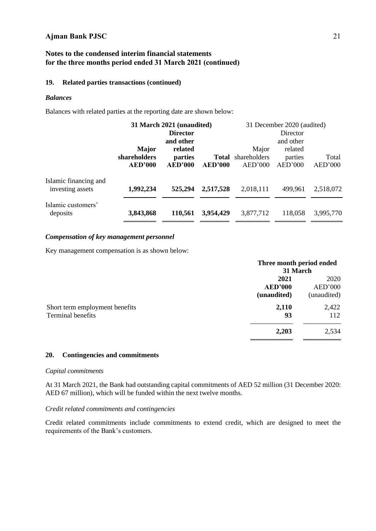# **Notes to the condensed interim financial statements for the three months period ended 31 March 2021 (continued)**

## **19. Related parties transactions (continued)**

## *Balances*

Balances with related parties at the reporting date are shown below:

|                                           |                                | 31 March 2021 (unaudited) |                         |                         | 31 December 2020 (audited) |                  |  |  |
|-------------------------------------------|--------------------------------|---------------------------|-------------------------|-------------------------|----------------------------|------------------|--|--|
|                                           |                                | <b>Director</b>           |                         |                         | Director                   |                  |  |  |
|                                           |                                | and other                 |                         |                         | and other                  |                  |  |  |
|                                           | <b>Major</b>                   | related                   |                         | Major                   | related                    |                  |  |  |
|                                           | shareholders<br><b>AED'000</b> | parties<br><b>AED'000</b> | Total<br><b>AED'000</b> | shareholders<br>AED'000 | parties<br>AED'000         | Total<br>AED'000 |  |  |
| Islamic financing and<br>investing assets | 1,992,234                      | 525,294                   | 2,517,528               | 2,018,111               | 499,961                    | 2,518,072        |  |  |
| Islamic customers'<br>deposits            | 3,843,868                      | 110,561                   | 3,954,429               | 3,877,712               | 118,058                    | 3,995,770        |  |  |

#### *Compensation of key management personnel*

Key management compensation is as shown below:

|                                                     | Three month period ended<br>31 March  |                                |
|-----------------------------------------------------|---------------------------------------|--------------------------------|
|                                                     | 2021<br><b>AED'000</b><br>(unaudited) | 2020<br>AED'000<br>(unaudited) |
| Short term employment benefits<br>Terminal benefits | 2,110<br>93                           | 2,422<br>112                   |
|                                                     | 2,203                                 | 2,534                          |

## **20. Contingencies and commitments**

#### *Capital commitments*

At 31 March 2021, the Bank had outstanding capital commitments of AED 52 million (31 December 2020: AED 67 million), which will be funded within the next twelve months.

#### *Credit related commitments and contingencies*

Credit related commitments include commitments to extend credit, which are designed to meet the requirements of the Bank's customers.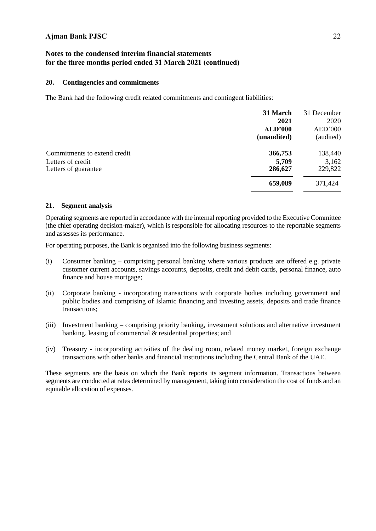# **Notes to the condensed interim financial statements for the three months period ended 31 March 2021 (continued)**

## **20. Contingencies and commitments**

The Bank had the following credit related commitments and contingent liabilities:

| 31 March<br>2021 | 31 December<br>2020 |
|------------------|---------------------|
| <b>AED'000</b>   | AED'000             |
| (unaudited)      | (audited)           |
| 366,753          | 138,440             |
| 5,709            | 3,162               |
| 286,627          | 229,822             |
| 659,089          | 371,424             |
|                  |                     |

## **21. Segment analysis**

Operating segments are reported in accordance with the internal reporting provided to the Executive Committee (the chief operating decision-maker), which is responsible for allocating resources to the reportable segments and assesses its performance.

For operating purposes, the Bank is organised into the following business segments:

- (i) Consumer banking comprising personal banking where various products are offered e.g. private customer current accounts, savings accounts, deposits, credit and debit cards, personal finance, auto finance and house mortgage;
- (ii) Corporate banking incorporating transactions with corporate bodies including government and public bodies and comprising of Islamic financing and investing assets, deposits and trade finance transactions;
- (iii) Investment banking comprising priority banking, investment solutions and alternative investment banking, leasing of commercial & residential properties; and
- (iv) Treasury incorporating activities of the dealing room, related money market, foreign exchange transactions with other banks and financial institutions including the Central Bank of the UAE.

These segments are the basis on which the Bank reports its segment information. Transactions between segments are conducted at rates determined by management, taking into consideration the cost of funds and an equitable allocation of expenses.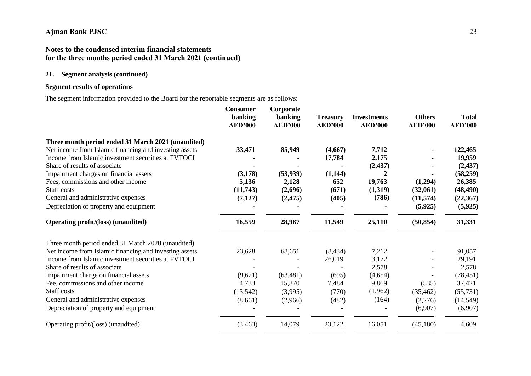# **Notes to the condensed interim financial statements for the three months period ended 31 March 2021 (continued)**

# **21. Segment analysis (continued)**

# **Segment results of operations**

The segment information provided to the Board for the reportable segments are as follows:

|                                                        | <b>Consumer</b><br>banking<br><b>AED'000</b> | Corporate<br>banking<br><b>AED'000</b> | <b>Treasury</b><br><b>AED'000</b> | <b>Investments</b><br><b>AED'000</b> | <b>Others</b><br><b>AED'000</b> | <b>Total</b><br><b>AED'000</b> |
|--------------------------------------------------------|----------------------------------------------|----------------------------------------|-----------------------------------|--------------------------------------|---------------------------------|--------------------------------|
| Three month period ended 31 March 2021 (unaudited)     |                                              |                                        |                                   |                                      |                                 |                                |
| Net income from Islamic financing and investing assets | 33,471                                       | 85,949                                 | (4,667)                           | 7,712                                |                                 | 122,465                        |
| Income from Islamic investment securities at FVTOCI    |                                              |                                        | 17,784                            | 2,175                                |                                 | 19,959                         |
| Share of results of associate                          |                                              |                                        |                                   | (2, 437)                             |                                 | (2, 437)                       |
| Impairment charges on financial assets                 | (3,178)                                      | (53, 939)                              | (1,144)                           | $\overline{2}$                       |                                 | (58,259)                       |
| Fees, commissions and other income                     | 5,136                                        | 2,128                                  | 652                               | 19,763                               | (1,294)                         | 26,385                         |
| Staff costs                                            | (11,743)                                     | (2,696)                                | (671)                             | (1,319)                              | (32,061)                        | (48, 490)                      |
| General and administrative expenses                    | (7,127)                                      | (2, 475)                               | (405)                             | (786)                                | (11,574)                        | (22, 367)                      |
| Depreciation of property and equipment                 |                                              |                                        |                                   |                                      | (5, 925)                        | (5, 925)                       |
| <b>Operating profit/(loss) (unaudited)</b>             | 16,559                                       | 28,967                                 | 11,549                            | 25,110                               | (50, 854)                       | 31,331                         |
| Three month period ended 31 March 2020 (unaudited)     |                                              |                                        |                                   |                                      |                                 |                                |
| Net income from Islamic financing and investing assets | 23,628                                       | 68,651                                 | (8, 434)                          | 7,212                                |                                 | 91,057                         |
| Income from Islamic investment securities at FVTOCI    |                                              |                                        | 26,019                            | 3,172                                |                                 | 29,191                         |
| Share of results of associate                          |                                              |                                        |                                   | 2,578                                |                                 | 2,578                          |
| Impairment charge on financial assets                  | (9,621)                                      | (63, 481)                              | (695)                             | (4,654)                              |                                 | (78, 451)                      |
| Fee, commissions and other income                      | 4,733                                        | 15,870                                 | 7,484                             | 9,869                                | (535)                           | 37,421                         |
| Staff costs                                            | (13, 542)                                    | (3,995)                                | (770)                             | (1,962)                              | (35, 462)                       | (55, 731)                      |
| General and administrative expenses                    | (8,661)                                      | (2,966)                                | (482)                             | (164)                                | (2,276)                         | (14, 549)                      |
| Depreciation of property and equipment                 |                                              |                                        |                                   |                                      | (6,907)                         | (6,907)                        |
| Operating profit/(loss) (unaudited)                    | (3,463)                                      | 14,079                                 | 23,122                            | 16,051                               | (45,180)                        | 4,609                          |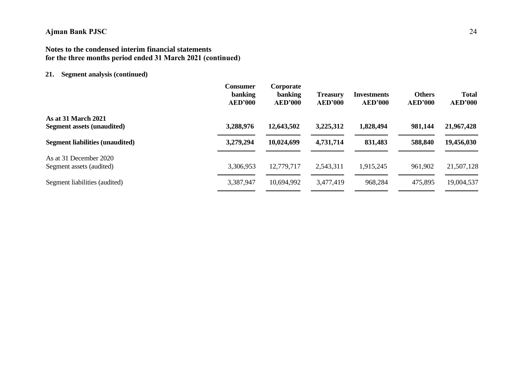# **Notes to the condensed interim financial statements for the three months period ended 31 March 2021 (continued)**

# **21. Segment analysis (continued)**

|                                                                 | <b>Consumer</b><br>banking<br>AED'000 | Corporate<br>banking<br><b>AED'000</b> | <b>Treasury</b><br><b>AED'000</b> | <b>Investments</b><br><b>AED'000</b> | <b>Others</b><br><b>AED'000</b> | <b>Total</b><br><b>AED'000</b> |
|-----------------------------------------------------------------|---------------------------------------|----------------------------------------|-----------------------------------|--------------------------------------|---------------------------------|--------------------------------|
| <b>As at 31 March 2021</b><br><b>Segment assets (unaudited)</b> | 3,288,976                             | 12,643,502                             | 3,225,312                         | 1,828,494                            | 981,144                         | 21,967,428                     |
| <b>Segment liabilities (unaudited)</b>                          | 3,279,294                             | 10,024,699                             | 4,731,714                         | 831,483                              | 588,840                         | 19,456,030                     |
| As at 31 December 2020<br>Segment assets (audited)              | 3,306,953                             | 12,779,717                             | 2,543,311                         | 1,915,245                            | 961,902                         | 21,507,128                     |
| Segment liabilities (audited)                                   | 3,387,947                             | 10,694,992                             | 3,477,419                         | 968,284                              | 475,895                         | 19,004,537                     |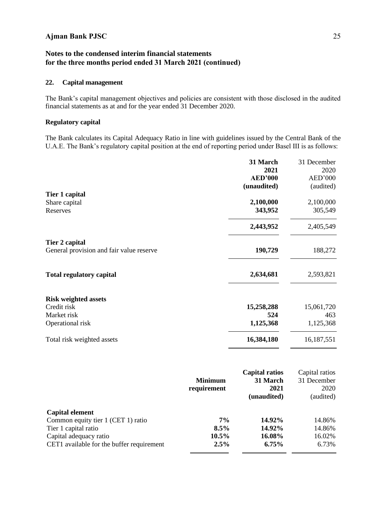# **Notes to the condensed interim financial statements for the three months period ended 31 March 2021 (continued)**

# **22. Capital management**

The Bank's capital management objectives and policies are consistent with those disclosed in the audited financial statements as at and for the year ended 31 December 2020.

## **Regulatory capital**

The Bank calculates its Capital Adequacy Ratio in line with guidelines issued by the Central Bank of the U.A.E. The Bank's regulatory capital position at the end of reporting period under Basel III is as follows:

|                                          |                | 31 March<br>2021<br><b>AED'000</b> | 31 December<br>2020 |
|------------------------------------------|----------------|------------------------------------|---------------------|
|                                          |                |                                    | AED'000             |
| Tier 1 capital                           |                | (unaudited)                        | (audited)           |
|                                          |                | 2,100,000                          | 2,100,000           |
| Share capital<br>Reserves                |                | 343,952                            | 305,549             |
|                                          |                |                                    |                     |
|                                          |                | 2,443,952                          | 2,405,549           |
| Tier 2 capital                           |                |                                    |                     |
| General provision and fair value reserve |                | 190,729                            | 188,272             |
| <b>Total regulatory capital</b>          |                | 2,634,681                          | 2,593,821           |
| <b>Risk weighted assets</b>              |                |                                    |                     |
| Credit risk                              |                | 15,258,288                         | 15,061,720          |
| Market risk                              |                | 524                                | 463                 |
| Operational risk                         |                | 1,125,368                          | 1,125,368           |
| Total risk weighted assets               |                | 16,384,180                         | 16,187,551          |
|                                          |                | <b>Capital ratios</b>              | Capital ratios      |
|                                          | <b>Minimum</b> | 31 March                           | 31 December         |
|                                          | requirement    | 2021                               | 2020                |
|                                          |                | (unaudited)                        | (audited)           |
|                                          |                |                                    |                     |

| Capital element                           |          |           |        |
|-------------------------------------------|----------|-----------|--------|
| Common equity tier 1 (CET 1) ratio        | $7\%$    | $14.92\%$ | 14.86% |
| Tier 1 capital ratio                      | $8.5\%$  | $14.92\%$ | 14.86% |
| Capital adequacy ratio                    | $10.5\%$ | 16.08%    | 16.02% |
| CET1 available for the buffer requirement | $2.5\%$  | $6.75\%$  | 6.73%  |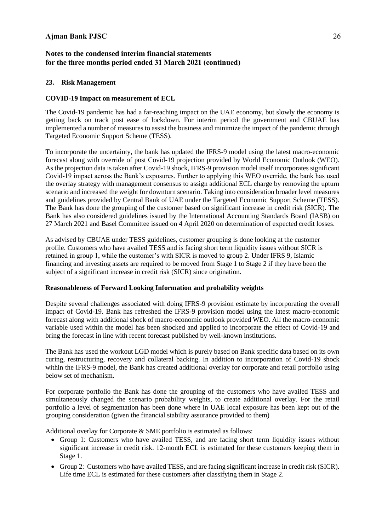# **23. Risk Management**

# **COVID-19 Impact on measurement of ECL**

The Covid-19 pandemic has had a far-reaching impact on the UAE economy, but slowly the economy is getting back on track post ease of lockdown. For interim period the government and CBUAE has implemented a number of measures to assist the business and minimize the impact of the pandemic through Targeted Economic Support Scheme (TESS).

To incorporate the uncertainty, the bank has updated the IFRS-9 model using the latest macro-economic forecast along with override of post Covid-19 projection provided by World Economic Outlook (WEO). As the projection data is taken after Covid-19 shock, IFRS-9 provision model itself incorporates significant Covid-19 impact across the Bank's exposures. Further to applying this WEO override, the bank has used the overlay strategy with management consensus to assign additional ECL charge by removing the upturn scenario and increased the weight for downturn scenario. Taking into consideration broader level measures and guidelines provided by Central Bank of UAE under the Targeted Economic Support Scheme (TESS). The Bank has done the grouping of the customer based on significant increase in credit risk (SICR). The Bank has also considered guidelines issued by the International Accounting Standards Board (IASB) on 27 March 2021 and Basel Committee issued on 4 April 2020 on determination of expected credit losses.

As advised by CBUAE under TESS guidelines, customer grouping is done looking at the customer profile. Customers who have availed TESS and is facing short term liquidity issues without SICR is retained in group 1, while the customer's with SICR is moved to group 2. Under IFRS 9, Islamic financing and investing assets are required to be moved from Stage 1 to Stage 2 if they have been the subject of a significant increase in credit risk (SICR) since origination.

## **Reasonableness of Forward Looking Information and probability weights**

Despite several challenges associated with doing IFRS-9 provision estimate by incorporating the overall impact of Covid-19. Bank has refreshed the IFRS-9 provision model using the latest macro-economic forecast along with additional shock of macro-economic outlook provided WEO. All the macro-economic variable used within the model has been shocked and applied to incorporate the effect of Covid-19 and bring the forecast in line with recent forecast published by well-known institutions.

The Bank has used the workout LGD model which is purely based on Bank specific data based on its own curing, restructuring, recovery and collateral backing. In addition to incorporation of Covid-19 shock within the IFRS-9 model, the Bank has created additional overlay for corporate and retail portfolio using below set of mechanism.

For corporate portfolio the Bank has done the grouping of the customers who have availed TESS and simultaneously changed the scenario probability weights, to create additional overlay. For the retail portfolio a level of segmentation has been done where in UAE local exposure has been kept out of the grouping consideration (given the financial stability assurance provided to them)

Additional overlay for Corporate & SME portfolio is estimated as follows:

- Group 1: Customers who have availed TESS, and are facing short term liquidity issues without significant increase in credit risk. 12-month ECL is estimated for these customers keeping them in Stage 1.
- Group 2: Customers who have availed TESS, and are facing significant increase in credit risk (SICR). Life time ECL is estimated for these customers after classifying them in Stage 2.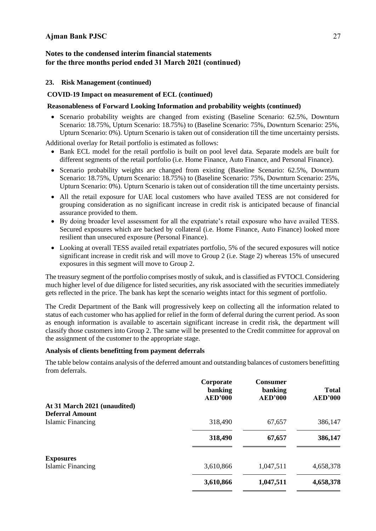# **Notes to the condensed interim financial statements for the three months period ended 31 March 2021 (continued)**

## **23. Risk Management (continued)**

## **COVID-19 Impact on measurement of ECL (continued)**

## **Reasonableness of Forward Looking Information and probability weights (continued)**

• Scenario probability weights are changed from existing (Baseline Scenario: 62.5%, Downturn Scenario: 18.75%, Upturn Scenario: 18.75%) to (Baseline Scenario: 75%, Downturn Scenario: 25%, Upturn Scenario: 0%). Upturn Scenario is taken out of consideration till the time uncertainty persists.

Additional overlay for Retail portfolio is estimated as follows:

- Bank ECL model for the retail portfolio is built on pool level data. Separate models are built for different segments of the retail portfolio (i.e. Home Finance, Auto Finance, and Personal Finance).
- Scenario probability weights are changed from existing (Baseline Scenario: 62.5%, Downturn Scenario: 18.75%, Upturn Scenario: 18.75%) to (Baseline Scenario: 75%, Downturn Scenario: 25%, Upturn Scenario: 0%). Upturn Scenario is taken out of consideration till the time uncertainty persists.
- All the retail exposure for UAE local customers who have availed TESS are not considered for grouping consideration as no significant increase in credit risk is anticipated because of financial assurance provided to them.
- By doing broader level assessment for all the expatriate's retail exposure who have availed TESS. Secured exposures which are backed by collateral (i.e. Home Finance, Auto Finance) looked more resilient than unsecured exposure (Personal Finance).
- Looking at overall TESS availed retail expatriates portfolio, 5% of the secured exposures will notice significant increase in credit risk and will move to Group 2 (i.e. Stage 2) whereas 15% of unsecured exposures in this segment will move to Group 2.

The treasury segment of the portfolio comprises mostly of sukuk, and is classified as FVTOCI. Considering much higher level of due diligence for listed securities, any risk associated with the securities immediately gets reflected in the price. The bank has kept the scenario weights intact for this segment of portfolio.

The Credit Department of the Bank will progressively keep on collecting all the information related to status of each customer who has applied for relief in the form of deferral during the current period. As soon as enough information is available to ascertain significant increase in credit risk, the department will classify those customers into Group 2. The same will be presented to the Credit committee for approval on the assignment of the customer to the appropriate stage.

## **Analysis of clients benefitting from payment deferrals**

The table below contains analysis of the deferred amount and outstanding balances of customers benefitting from deferrals.

|                              | Corporate<br>banking<br><b>AED'000</b> | <b>Consumer</b><br>banking<br><b>AED'000</b> | <b>Total</b><br><b>AED'000</b> |
|------------------------------|----------------------------------------|----------------------------------------------|--------------------------------|
| At 31 March 2021 (unaudited) |                                        |                                              |                                |
| <b>Deferral Amount</b>       |                                        |                                              |                                |
| Islamic Financing            | 318,490                                | 67,657                                       | 386,147                        |
|                              | 318,490                                | 67,657                                       | 386,147                        |
| <b>Exposures</b>             |                                        |                                              |                                |
| Islamic Financing            | 3,610,866                              | 1,047,511                                    | 4,658,378                      |
|                              | 3,610,866                              | 1,047,511                                    | 4,658,378                      |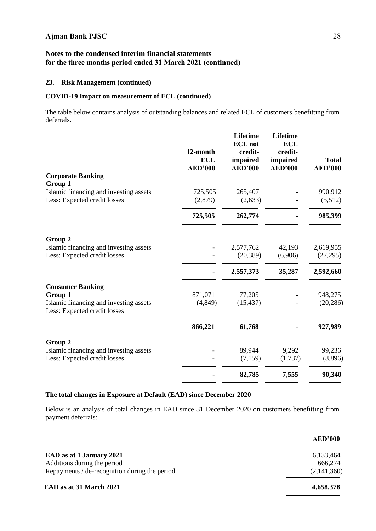# **23. Risk Management (continued)**

# **COVID-19 Impact on measurement of ECL (continued)**

The table below contains analysis of outstanding balances and related ECL of customers benefitting from deferrals.

|                                                                        | 12-month<br><b>ECL</b><br><b>AED'000</b> | <b>Lifetime</b><br><b>ECL</b> not<br>credit-<br>impaired<br><b>AED'000</b> | <b>Lifetime</b><br><b>ECL</b><br>credit-<br>impaired<br><b>AED'000</b> | <b>Total</b><br><b>AED'000</b> |
|------------------------------------------------------------------------|------------------------------------------|----------------------------------------------------------------------------|------------------------------------------------------------------------|--------------------------------|
| <b>Corporate Banking</b><br>Group 1                                    |                                          |                                                                            |                                                                        |                                |
| Islamic financing and investing assets                                 | 725,505                                  | 265,407                                                                    |                                                                        | 990,912                        |
| Less: Expected credit losses                                           | (2,879)                                  | (2,633)                                                                    |                                                                        | (5,512)                        |
|                                                                        | 725,505                                  | 262,774                                                                    |                                                                        | 985,399                        |
| Group 2                                                                |                                          |                                                                            |                                                                        |                                |
| Islamic financing and investing assets                                 |                                          | 2,577,762<br>(20, 389)                                                     | 42,193<br>(6,906)                                                      | 2,619,955<br>(27,295)          |
| Less: Expected credit losses                                           |                                          |                                                                            |                                                                        |                                |
|                                                                        |                                          | 2,557,373                                                                  | 35,287                                                                 | 2,592,660                      |
| <b>Consumer Banking</b><br>Group 1                                     | 871,071                                  | 77,205                                                                     |                                                                        | 948,275                        |
| Islamic financing and investing assets<br>Less: Expected credit losses | (4,849)                                  | (15, 437)                                                                  |                                                                        | (20, 286)                      |
|                                                                        | 866,221                                  | 61,768                                                                     |                                                                        | 927,989                        |
| Group 2                                                                |                                          |                                                                            |                                                                        |                                |
| Islamic financing and investing assets<br>Less: Expected credit losses |                                          | 89,944<br>(7,159)                                                          | 9,292<br>(1,737)                                                       | 99,236<br>(8,896)              |
|                                                                        |                                          | 82,785                                                                     | 7,555                                                                  | 90,340                         |

## **The total changes in Exposure at Default (EAD) since December 2020**

Below is an analysis of total changes in EAD since 31 December 2020 on customers benefitting from payment deferrals:

|                                               | <b>AED'000</b> |
|-----------------------------------------------|----------------|
| EAD as at 1 January 2021                      | 6,133,464      |
| Additions during the period                   | 666,274        |
| Repayments / de-recognition during the period | (2,141,360)    |
| EAD as at 31 March 2021                       | 4,658,378      |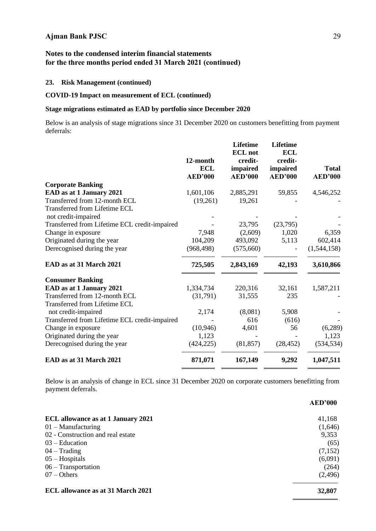# **23. Risk Management (continued)**

# **COVID-19 Impact on measurement of ECL (continued)**

# **Stage migrations estimated as EAD by portfolio since December 2020**

Below is an analysis of stage migrations since 31 December 2020 on customers benefitting from payment deferrals:

|                                               | 12-month<br><b>ECL</b><br><b>AED'000</b> | <b>Lifetime</b><br><b>ECL</b> not<br>credit-<br>impaired<br><b>AED'000</b> | <b>Lifetime</b><br><b>ECL</b><br>credit-<br>impaired<br><b>AED'000</b> | <b>Total</b><br><b>AED'000</b> |
|-----------------------------------------------|------------------------------------------|----------------------------------------------------------------------------|------------------------------------------------------------------------|--------------------------------|
| <b>Corporate Banking</b>                      |                                          |                                                                            |                                                                        |                                |
| EAD as at 1 January 2021                      | 1,601,106                                | 2,885,291                                                                  | 59,855                                                                 | 4,546,252                      |
| Transferred from 12-month ECL                 | (19,261)                                 | 19,261                                                                     |                                                                        |                                |
| <b>Transferred from Lifetime ECL</b>          |                                          |                                                                            |                                                                        |                                |
| not credit-impaired                           |                                          |                                                                            |                                                                        |                                |
| Transferred from Lifetime ECL credit-impaired |                                          | 23,795                                                                     | (23,795)                                                               |                                |
| Change in exposure                            | 7,948                                    | (2,609)                                                                    | 1,020                                                                  | 6,359                          |
| Originated during the year                    | 104,209                                  | 493,092                                                                    | 5,113                                                                  | 602,414                        |
| Derecognised during the year                  | (968, 498)                               | (575,660)                                                                  |                                                                        | (1,544,158)                    |
| EAD as at 31 March 2021                       | 725,505                                  | 2,843,169                                                                  | 42,193                                                                 | 3,610,866                      |
| <b>Consumer Banking</b>                       |                                          |                                                                            |                                                                        |                                |
| EAD as at 1 January 2021                      | 1,334,734                                | 220,316                                                                    | 32,161                                                                 | 1,587,211                      |
| Transferred from 12-month ECL                 | (31,791)                                 | 31,555                                                                     | 235                                                                    |                                |
| <b>Transferred from Lifetime ECL</b>          |                                          |                                                                            |                                                                        |                                |
| not credit-impaired                           | 2,174                                    | (8,081)                                                                    | 5,908                                                                  |                                |
| Transferred from Lifetime ECL credit-impaired |                                          | 616                                                                        | (616)                                                                  |                                |
| Change in exposure                            | (10, 946)                                | 4,601                                                                      | 56                                                                     | (6,289)                        |
| Originated during the year                    | 1,123                                    |                                                                            |                                                                        | 1,123                          |
| Derecognised during the year                  | (424, 225)                               | (81, 857)                                                                  | (28, 452)                                                              | (534, 534)                     |
| EAD as at 31 March 2021                       | 871,071                                  | 167,149                                                                    | 9,292                                                                  | 1,047,511                      |

Below is an analysis of change in ECL since 31 December 2020 on corporate customers benefitting from payment deferrals.

|                                           | <b>AED'000</b> |
|-------------------------------------------|----------------|
| <b>ECL</b> allowance as at 1 January 2021 | 41,168         |
| $01 -$ Manufacturing                      | (1,646)        |
| 02 - Construction and real estate         | 9,353          |
| $03 - Education$                          | (65)           |
| $04 - Trading$                            | (7,152)        |
| $05 -$ Hospitals                          | (6,091)        |
| $06 - Transportation$                     | (264)          |
| $07 - Others$                             | (2,496)        |
| <b>ECL allowance as at 31 March 2021</b>  | 32,807         |